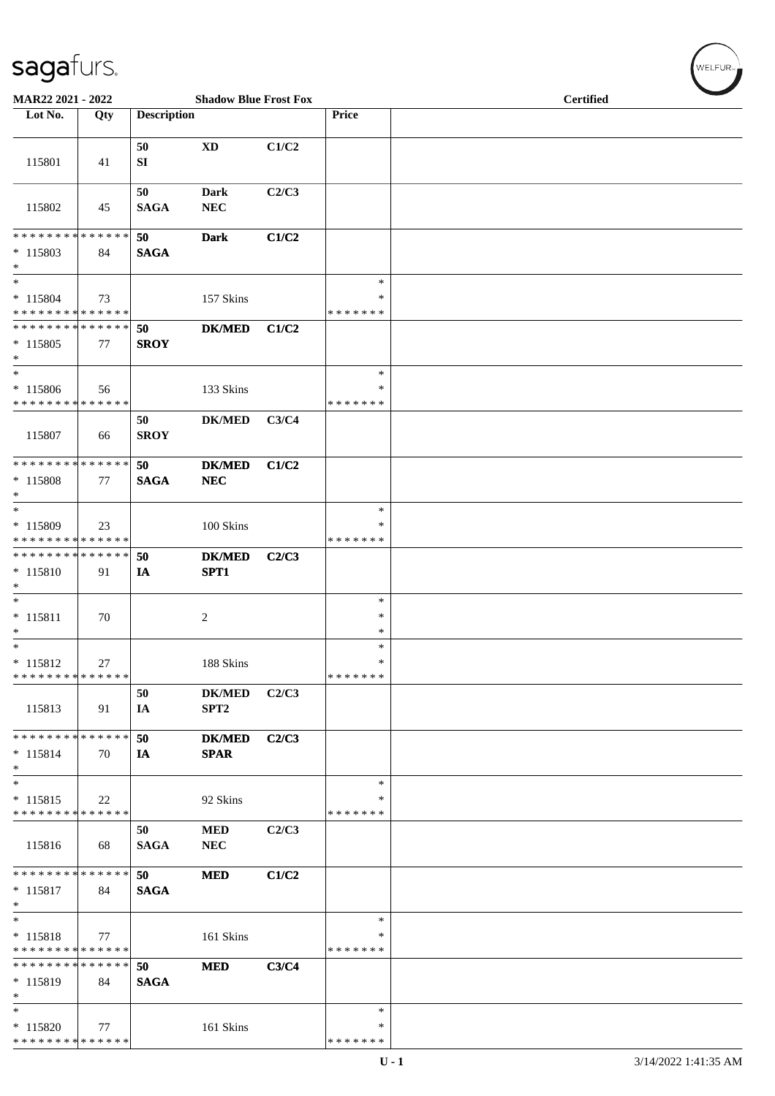| MAR22 2021 - 2022                                    |     |                    | <b>Shadow Blue Frost Fox</b>      |       |                              | <b>Certified</b> |
|------------------------------------------------------|-----|--------------------|-----------------------------------|-------|------------------------------|------------------|
| Lot No.                                              | Qty | <b>Description</b> |                                   |       | Price                        |                  |
| 115801                                               | 41  | 50<br>SI           | $\mathbf{X}\mathbf{D}$            | C1/C2 |                              |                  |
| 115802                                               | 45  | 50<br><b>SAGA</b>  | Dark<br>NEC                       | C2/C3 |                              |                  |
| * * * * * * * * * * * * * *<br>$* 115803$<br>$\ast$  | 84  | 50<br><b>SAGA</b>  | <b>Dark</b>                       | C1/C2 |                              |                  |
| $\ast$<br>$* 115804$<br>* * * * * * * * * * * * * *  | 73  |                    | 157 Skins                         |       | $\ast$<br>∗<br>* * * * * * * |                  |
| * * * * * * * * * * * * * *<br>$*115805$<br>$\ast$   | 77  | 50<br><b>SROY</b>  | <b>DK/MED</b>                     | C1/C2 |                              |                  |
| $\ast$<br>$* 115806$<br>* * * * * * * * * * * * * *  | 56  |                    | 133 Skins                         |       | $\ast$<br>∗<br>* * * * * * * |                  |
| 115807                                               | 66  | 50<br><b>SROY</b>  | <b>DK/MED</b>                     | C3/C4 |                              |                  |
| **************<br>* 115808<br>$\ast$                 | 77  | 50<br><b>SAGA</b>  | <b>DK/MED</b><br>${\bf NEC}$      | C1/C2 |                              |                  |
| $\ast$<br>* 115809<br>* * * * * * * * * * * * * *    | 23  |                    | 100 Skins                         |       | $\ast$<br>∗<br>* * * * * * * |                  |
| **************<br>$* 115810$<br>$\ast$               | 91  | 50<br>IA           | <b>DK/MED</b><br>SPT1             | C2/C3 |                              |                  |
| $\ast$<br>$* 115811$<br>$\ast$<br>$\ast$             | 70  |                    | $\overline{c}$                    |       | $\ast$<br>*<br>$\ast$        |                  |
| $* 115812$<br>* * * * * * * * * * * * * * *          | 27  |                    | 188 Skins                         |       | $\ast$<br>*<br>* * * * * * * |                  |
| 115813                                               | 91  | 50<br>IA           | <b>DK/MED</b><br>SPT <sub>2</sub> | C2/C3 |                              |                  |
| * * * * * * * * * * * * * *<br>$* 115814$<br>$*$     | 70  | 50<br>IA           | <b>DK/MED</b><br><b>SPAR</b>      | C2/C3 |                              |                  |
| $\ast$<br>$* 115815$<br>* * * * * * * * * * * * * *  | 22  |                    | 92 Skins                          |       | $\ast$<br>∗<br>* * * * * * * |                  |
| 115816                                               | 68  | 50<br><b>SAGA</b>  | $\bf MED$<br>${\bf NEC}$          | C2/C3 |                              |                  |
| * * * * * * * * * * * * * * *<br>$* 115817$<br>$*$   | 84  | 50<br><b>SAGA</b>  | <b>MED</b>                        | C1/C2 |                              |                  |
| $*$<br>$* 115818$<br>* * * * * * * * * * * * * *     | 77  |                    | 161 Skins                         |       | $\ast$<br>∗<br>* * * * * * * |                  |
| * * * * * * * * * * * * * * *<br>$*115819$<br>$\ast$ | 84  | 50<br><b>SAGA</b>  | <b>MED</b>                        | C3/C4 |                              |                  |
| $\ast$<br>$*115820$<br>* * * * * * * * * * * * * *   | 77  |                    | 161 Skins                         |       | $\ast$<br>∗<br>* * * * * * * |                  |

 $\left(\begin{smallmatrix} \mathsf{WELFLR}_{\mathbb{W}}\end{smallmatrix}\right)$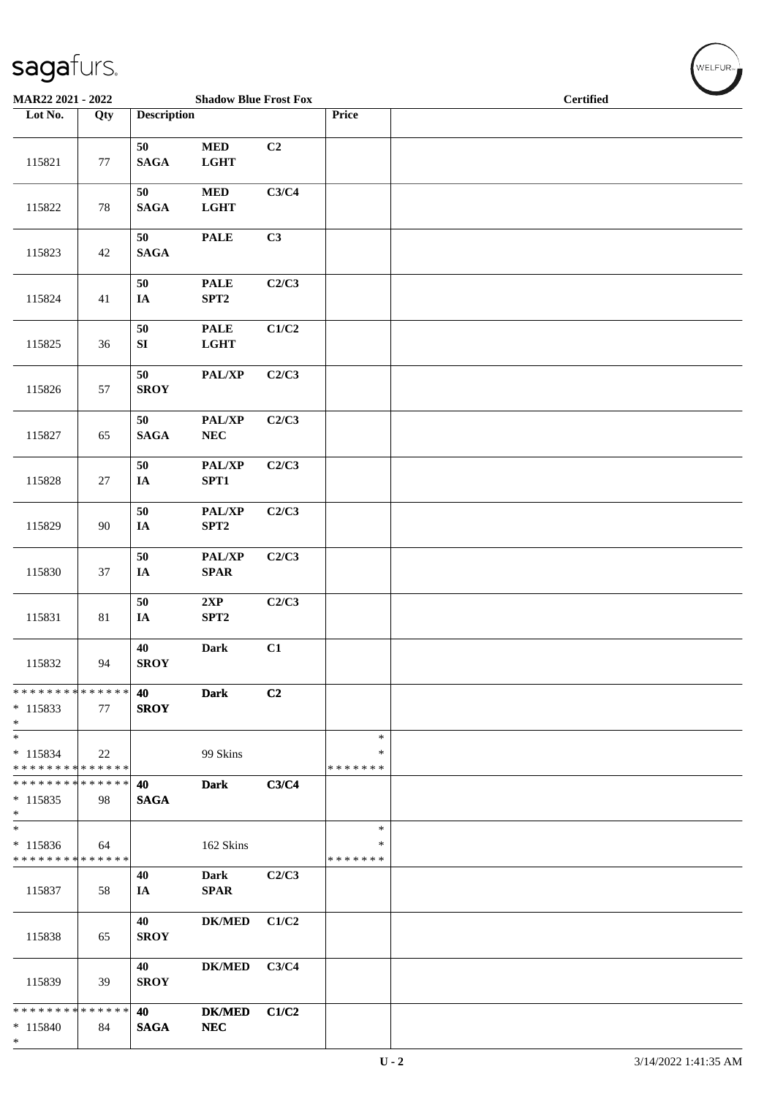| $\tilde{\phantom{a}}$<br>MAR22 2021 - 2022                              |        |                          | <b>Shadow Blue Frost Fox</b>              |       |                              |  | <b>Certified</b> |  |
|-------------------------------------------------------------------------|--------|--------------------------|-------------------------------------------|-------|------------------------------|--|------------------|--|
| Lot No.                                                                 | Qty    | <b>Description</b>       |                                           |       | Price                        |  |                  |  |
| 115821                                                                  | 77     | 50<br><b>SAGA</b>        | $\bf MED$<br><b>LGHT</b>                  | C2    |                              |  |                  |  |
| 115822                                                                  | $78\,$ | 50<br><b>SAGA</b>        | $\bf MED$<br><b>LGHT</b>                  | C3/C4 |                              |  |                  |  |
| 115823                                                                  | 42     | 50<br><b>SAGA</b>        | <b>PALE</b>                               | C3    |                              |  |                  |  |
| 115824                                                                  | 41     | 50<br>$I\!\!A$           | <b>PALE</b><br>SPT2                       | C2/C3 |                              |  |                  |  |
| 115825                                                                  | 36     | 50<br>${\bf SI}$         | <b>PALE</b><br><b>LGHT</b>                | C1/C2 |                              |  |                  |  |
| 115826                                                                  | 57     | 50<br><b>SROY</b>        | PAL/XP                                    | C2/C3 |                              |  |                  |  |
| 115827                                                                  | 65     | 50<br><b>SAGA</b>        | PAL/XP<br>${\bf NEC}$                     | C2/C3 |                              |  |                  |  |
| 115828                                                                  | 27     | 50<br>$I\!\!A$           | PAL/XP<br>SPT1                            | C2/C3 |                              |  |                  |  |
| 115829                                                                  | 90     | ${\bf 50}$<br>IA         | PAL/XP<br>SPT2                            | C2/C3 |                              |  |                  |  |
| 115830                                                                  | 37     | ${\bf 50}$<br>$I\!\!A$   | PAL/XP<br>$\pmb{\quad \text{SPAR} \quad}$ | C2/C3 |                              |  |                  |  |
| 115831                                                                  | 81     | ${\bf 50}$<br>$I\!\!A$   | 2XP<br>SPT2                               | C2/C3 |                              |  |                  |  |
| 115832                                                                  | 94     | 40<br><b>SROY</b>        | <b>Dark</b>                               | C1    |                              |  |                  |  |
| * * * * * * * * * * * * * *<br>$*115833$<br>$*$                         | 77     | <b>40</b><br><b>SROY</b> | <b>Dark</b>                               | C2    |                              |  |                  |  |
| $*$<br>$* 115834$<br>* * * * * * * * * * * * * *                        | 22     |                          | 99 Skins                                  |       | $\ast$<br>∗<br>* * * * * * * |  |                  |  |
| * * * * * * * * * * * * * * *<br>$* 115835$<br>$*$                      | 98     | 40<br><b>SAGA</b>        | <b>Dark</b>                               | C3/C4 |                              |  |                  |  |
| $\overline{\phantom{a}^*}$<br>$* 115836$<br>* * * * * * * * * * * * * * | 64     |                          | 162 Skins                                 |       | $\ast$<br>∗<br>* * * * * * * |  |                  |  |
| 115837                                                                  | 58     | 40<br>IA                 | <b>Dark</b><br><b>SPAR</b>                | C2/C3 |                              |  |                  |  |
| 115838                                                                  | 65     | 40<br><b>SROY</b>        | <b>DK/MED</b>                             | C1/C2 |                              |  |                  |  |
| 115839                                                                  | 39     | 40<br><b>SROY</b>        | <b>DK/MED</b>                             | C3/C4 |                              |  |                  |  |
| * * * * * * * * * * * * * * *<br>$*115840$<br>$*$                       | 84     | 40<br><b>SAGA</b>        | <b>DK/MED</b><br>NEC                      | C1/C2 |                              |  |                  |  |

WELFUR<sub>"</sub>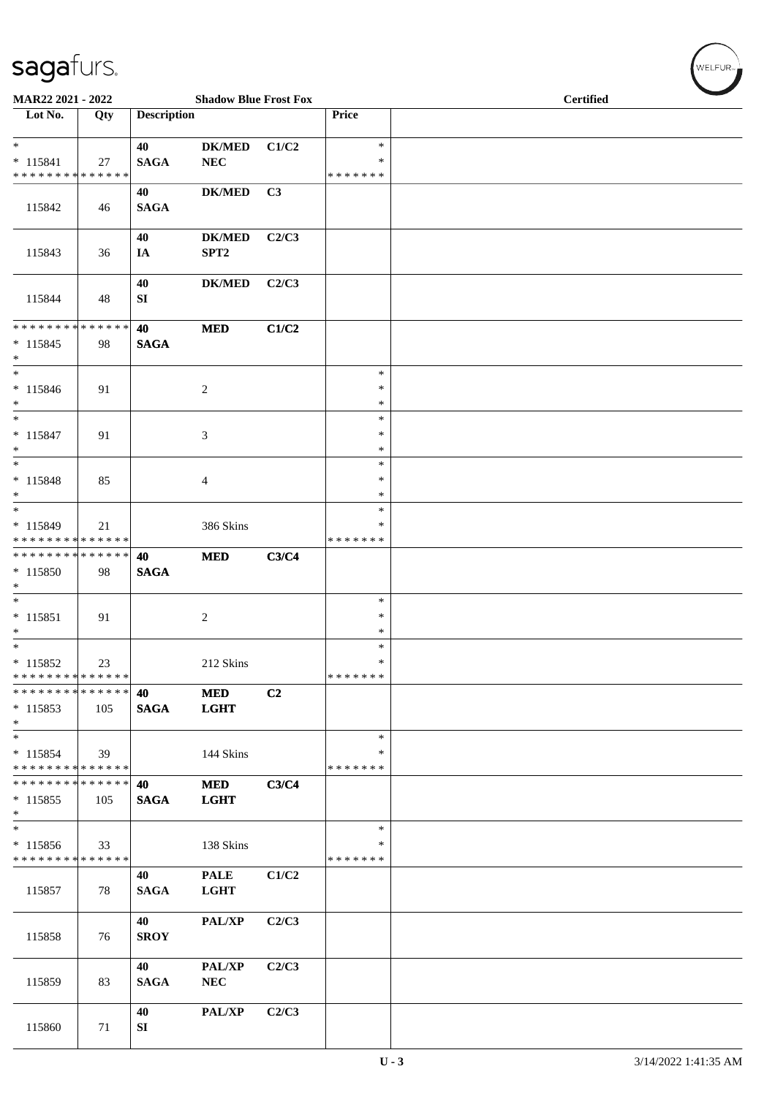| MAR22 2021 - 2022                                               |               |                    | <b>Shadow Blue Frost Fox</b>      |       |                                   | <b>Certified</b> |  |  |  |  |
|-----------------------------------------------------------------|---------------|--------------------|-----------------------------------|-------|-----------------------------------|------------------|--|--|--|--|
| Lot No.                                                         | Qty           | <b>Description</b> |                                   |       | Price                             |                  |  |  |  |  |
| $*$<br>$* 115841$<br>* * * * * * * * * * * * * *                | 27            | 40<br><b>SAGA</b>  | <b>DK/MED</b><br><b>NEC</b>       | C1/C2 | $\ast$<br>$\ast$<br>* * * * * * * |                  |  |  |  |  |
| 115842                                                          | 46            | 40<br><b>SAGA</b>  | $DK/MED$                          | C3    |                                   |                  |  |  |  |  |
| 115843                                                          | 36            | 40<br>IA           | <b>DK/MED</b><br>SPT <sub>2</sub> | C2/C3 |                                   |                  |  |  |  |  |
| 115844                                                          | 48            | 40<br>SI           | <b>DK/MED</b>                     | C2/C3 |                                   |                  |  |  |  |  |
| ******** <mark>******</mark><br>$* 115845$<br>$*$               | 98            | 40<br><b>SAGA</b>  | <b>MED</b>                        | C1/C2 |                                   |                  |  |  |  |  |
| $*$<br>$* 115846$<br>$*$                                        | 91            |                    | 2                                 |       | $\ast$<br>$\ast$<br>$\ast$        |                  |  |  |  |  |
| $*$<br>$* 115847$<br>$\ast$<br>$\overline{\phantom{0}}$         | 91            |                    | 3                                 |       | $\ast$<br>$\ast$<br>$\ast$        |                  |  |  |  |  |
| $* 115848$<br>$*$                                               | 85            |                    | $\overline{4}$                    |       | $\ast$<br>$\ast$<br>$\ast$        |                  |  |  |  |  |
| $*$<br>$* 115849$<br>* * * * * * * * <mark>* * * * * * *</mark> | 21            |                    | 386 Skins                         |       | $\ast$<br>∗<br>*******            |                  |  |  |  |  |
| * * * * * * * * * * * * * * *<br>$* 115850$<br>$*$              | 98            | 40<br><b>SAGA</b>  | <b>MED</b>                        | C3/C4 |                                   |                  |  |  |  |  |
| $*$<br>$* 115851$<br>$*$                                        | 91            |                    | $\overline{c}$                    |       | $\ast$<br>$\ast$<br>$\ast$        |                  |  |  |  |  |
| $*$<br>* 115852<br>* * * * * * * * * * * * * *                  | 23            |                    | 212 Skins                         |       | $\ast$<br>$\ast$<br>* * * * * * * |                  |  |  |  |  |
| * * * * * * * *<br>$* 115853$<br>$*$                            | ******<br>105 | 40<br><b>SAGA</b>  | <b>MED</b><br><b>LGHT</b>         | C2    |                                   |                  |  |  |  |  |
| $*$<br>$* 115854$<br>* * * * * * * * * * * * * *                | 39            |                    | 144 Skins                         |       | $\ast$<br>∗<br>* * * * * * *      |                  |  |  |  |  |
| * * * * * * * * * * * * * * *<br>$* 115855$<br>$*$              | 105           | 40<br><b>SAGA</b>  | <b>MED</b><br><b>LGHT</b>         | C3/C4 |                                   |                  |  |  |  |  |
| $*$<br>$* 115856$<br>* * * * * * * * <mark>* * * * * * *</mark> | 33            |                    | 138 Skins                         |       | $\ast$<br>$\ast$<br>* * * * * * * |                  |  |  |  |  |
| 115857                                                          | 78            | 40<br><b>SAGA</b>  | <b>PALE</b><br><b>LGHT</b>        | C1/C2 |                                   |                  |  |  |  |  |
| 115858                                                          | 76            | 40<br><b>SROY</b>  | PAL/XP                            | C2/C3 |                                   |                  |  |  |  |  |
| 115859                                                          | 83            | 40<br><b>SAGA</b>  | <b>PAL/XP</b><br><b>NEC</b>       | C2/C3 |                                   |                  |  |  |  |  |
| 115860                                                          | 71            | 40<br>SI           | PAL/XP                            | C2/C3 |                                   |                  |  |  |  |  |

 $(\sqrt{\text{WELFUR}_{n}})$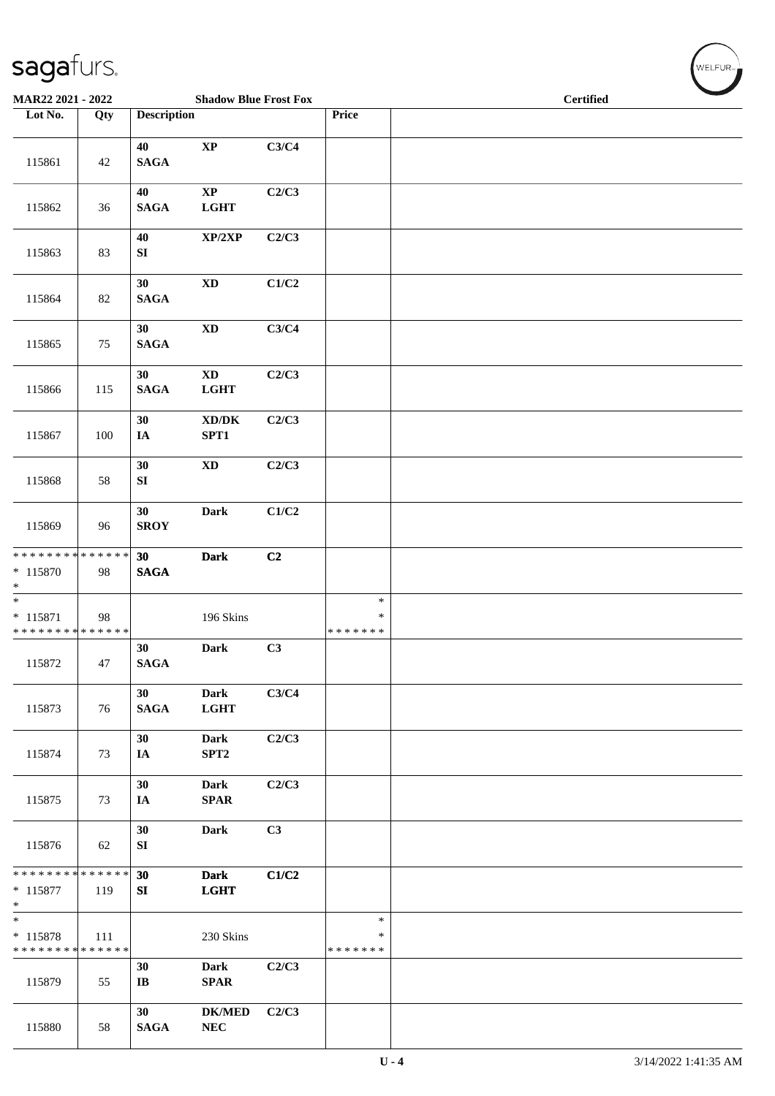| $\tilde{\phantom{a}}$<br>MAR22 2021 - 2022                     |     |                              | <b>Shadow Blue Frost Fox</b>                |       |                                   | <b>Certified</b> |  |
|----------------------------------------------------------------|-----|------------------------------|---------------------------------------------|-------|-----------------------------------|------------------|--|
| Lot No.                                                        | Qty | <b>Description</b>           |                                             |       | Price                             |                  |  |
| 115861                                                         | 42  | 40<br><b>SAGA</b>            | $\bold{XP}$                                 | C3/C4 |                                   |                  |  |
| 115862                                                         | 36  | 40<br><b>SAGA</b>            | $\bold{XP}$<br><b>LGHT</b>                  | C2/C3 |                                   |                  |  |
| 115863                                                         | 83  | 40<br>${\bf SI}$             | XP/2XP                                      | C2/C3 |                                   |                  |  |
| 115864                                                         | 82  | 30<br><b>SAGA</b>            | $\mathbf{X}\mathbf{D}$                      | C1/C2 |                                   |                  |  |
| 115865                                                         | 75  | 30<br><b>SAGA</b>            | $\mathbf{X}\mathbf{D}$                      | C3/C4 |                                   |                  |  |
| 115866                                                         | 115 | 30<br><b>SAGA</b>            | $\mathbf{X}\mathbf{D}$<br><b>LGHT</b>       | C2/C3 |                                   |                  |  |
| 115867                                                         | 100 | 30<br>$I\!\!A$               | $\bold{X}\bold{D}/\bold{D}\bold{K}$<br>SPT1 | C2/C3 |                                   |                  |  |
| 115868                                                         | 58  | 30<br>SI                     | $\mathbf{X}\mathbf{D}$                      | C2/C3 |                                   |                  |  |
| 115869                                                         | 96  | 30<br><b>SROY</b>            | <b>Dark</b>                                 | C1/C2 |                                   |                  |  |
| ******** <mark>******</mark><br>$* 115870$<br>$*$              | 98  | 30<br><b>SAGA</b>            | <b>Dark</b>                                 | C2    |                                   |                  |  |
| $\overline{\ast}$<br>$* 115871$<br>* * * * * * * * * * * * * * | 98  |                              | 196 Skins                                   |       | $\ast$<br>$\ast$<br>* * * * * * * |                  |  |
| 115872                                                         | 47  | 30<br><b>SAGA</b>            | <b>Dark</b>                                 | C3    |                                   |                  |  |
| 115873                                                         | 76  | 30<br><b>SAGA</b>            | <b>Dark</b><br><b>LGHT</b>                  | C3/C4 |                                   |                  |  |
| 115874                                                         | 73  | 30<br>IA                     | <b>Dark</b><br>SPT2                         | C2/C3 |                                   |                  |  |
| 115875                                                         | 73  | 30<br>IA                     | <b>Dark</b><br><b>SPAR</b>                  | C2/C3 |                                   |                  |  |
| 115876                                                         | 62  | 30<br>${\bf SI}$             | <b>Dark</b>                                 | C3    |                                   |                  |  |
| * * * * * * * * * * * * * *<br>$* 115877$<br>$*$               | 119 | 30<br>SI                     | <b>Dark</b><br><b>LGHT</b>                  | C1/C2 |                                   |                  |  |
| $\ast$<br>$* 115878$<br>* * * * * * * * * * * * * *            | 111 |                              | 230 Skins                                   |       | $\ast$<br>$\ast$<br>* * * * * * * |                  |  |
| 115879                                                         | 55  | 30<br>$\mathbf{I}\mathbf{B}$ | <b>Dark</b><br><b>SPAR</b>                  | C2/C3 |                                   |                  |  |
| 115880                                                         | 58  | 30<br><b>SAGA</b>            | <b>DK/MED</b><br>${\bf NEC}$                | C2/C3 |                                   |                  |  |

WELFUR<sub>"</sub>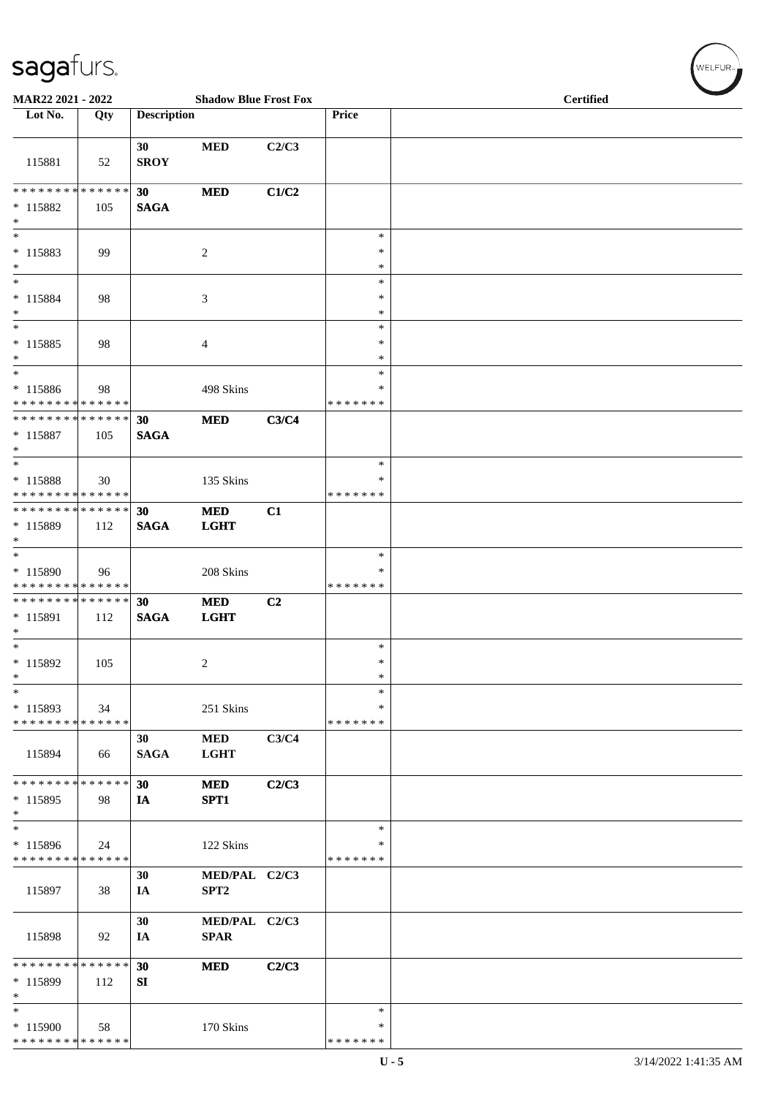| $\tilde{\phantom{a}}$<br>MAR22 2021 - 2022                   |     |                    | <b>Shadow Blue Frost Fox</b>      |       |                              | <b>Certified</b> |
|--------------------------------------------------------------|-----|--------------------|-----------------------------------|-------|------------------------------|------------------|
| Lot No.                                                      | Qty | <b>Description</b> |                                   |       | Price                        |                  |
| 115881                                                       | 52  | 30<br><b>SROY</b>  | <b>MED</b>                        | C2/C3 |                              |                  |
| * * * * * * * * * * * * * *<br>* 115882<br>$\ast$            | 105 | 30<br><b>SAGA</b>  | <b>MED</b>                        | C1/C2 |                              |                  |
| $\overline{\phantom{0}}$<br>$* 115883$<br>$\ast$             | 99  |                    | $\sqrt{2}$                        |       | $\ast$<br>$\ast$<br>$\ast$   |                  |
| $\overline{\phantom{a}^*}$<br>$* 115884$<br>$\ast$           | 98  |                    | $\mathfrak{Z}$                    |       | $\ast$<br>$\ast$<br>$\ast$   |                  |
| $\ast$<br>$* 115885$<br>$\ast$                               | 98  |                    | 4                                 |       | $\ast$<br>$\ast$<br>∗        |                  |
| $\ast$<br>* 115886<br>* * * * * * * * * * * * * *            | 98  |                    | 498 Skins                         |       | $\ast$<br>∗<br>* * * * * * * |                  |
| **************<br>$* 115887$<br>$\ast$                       | 105 | 30<br><b>SAGA</b>  | <b>MED</b>                        | C3/C4 |                              |                  |
| $\ast$<br>* 115888<br>* * * * * * * * * * * * * *            | 30  |                    | 135 Skins                         |       | $\ast$<br>∗<br>* * * * * * * |                  |
| **************<br>* 115889<br>$\ast$                         | 112 | 30<br><b>SAGA</b>  | <b>MED</b><br><b>LGHT</b>         | C1    |                              |                  |
| $\overline{\ast}$<br>* 115890<br>* * * * * * * * * * * * * * | 96  |                    | 208 Skins                         |       | $\ast$<br>∗<br>* * * * * * * |                  |
| **************<br>* 115891<br>$\ast$                         | 112 | 30<br><b>SAGA</b>  | <b>MED</b><br><b>LGHT</b>         | C2    |                              |                  |
| $\ast$<br>$* 115892$<br>$\ast$                               | 105 |                    | $\overline{2}$                    |       | $\ast$<br>$\ast$<br>$\ast$   |                  |
| $\ast$<br>$* 115893$<br>* * * * * * * * * * * * * *          | 34  |                    | 251 Skins                         |       | $\ast$<br>∗<br>* * * * * * * |                  |
| 115894                                                       | 66  | 30<br><b>SAGA</b>  | <b>MED</b><br><b>LGHT</b>         | C3/C4 |                              |                  |
| * * * * * * * * * * * * * *<br>$*115895$<br>$\ast$           | 98  | 30<br>IA           | <b>MED</b><br>SPT1                | C2/C3 |                              |                  |
| $\ast$<br>* 115896<br>* * * * * * * * * * * * * *            | 24  |                    | 122 Skins                         |       | $\ast$<br>∗<br>* * * * * * * |                  |
| 115897                                                       | 38  | 30<br>IA           | MED/PAL C2/C3<br>SPT <sub>2</sub> |       |                              |                  |
| 115898                                                       | 92  | 30<br>IA           | MED/PAL C2/C3<br><b>SPAR</b>      |       |                              |                  |
| * * * * * * * * * * * * * *<br>$*115899$<br>$\ast$           | 112 | 30<br>SI           | <b>MED</b>                        | C2/C3 |                              |                  |
| $\ast$<br>$*115900$<br>* * * * * * * * * * * * * *           | 58  |                    | 170 Skins                         |       | $\ast$<br>∗<br>* * * * * * * |                  |

 $(w$ ELFUR<sub><sup>N</sub></sub></sub></sup>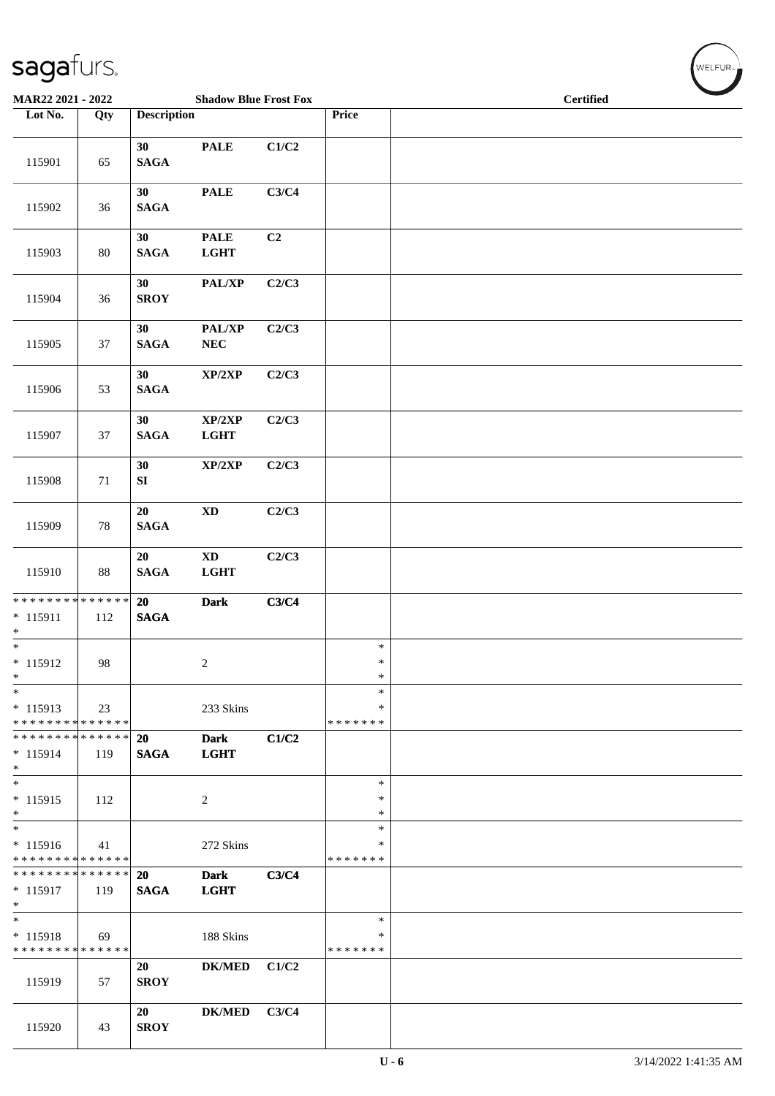| MAR22 2021 - 2022                                   |        |                       | <b>Shadow Blue Frost Fox</b>          |       |                              | <b>Certified</b> |
|-----------------------------------------------------|--------|-----------------------|---------------------------------------|-------|------------------------------|------------------|
| Lot No.                                             | Qty    | <b>Description</b>    |                                       |       | Price                        |                  |
| 115901                                              | 65     | 30<br><b>SAGA</b>     | <b>PALE</b>                           | C1/C2 |                              |                  |
| 115902                                              | 36     | 30<br><b>SAGA</b>     | <b>PALE</b>                           | C3/C4 |                              |                  |
| 115903                                              | $80\,$ | 30<br><b>SAGA</b>     | <b>PALE</b><br><b>LGHT</b>            | C2    |                              |                  |
| 115904                                              | 36     | 30<br><b>SROY</b>     | PAL/XP                                | C2/C3 |                              |                  |
| 115905                                              | 37     | 30<br>$\mathbf{SAGA}$ | PAL/XP<br>${\bf NEC}$                 | C2/C3 |                              |                  |
| 115906                                              | 53     | 30<br><b>SAGA</b>     | XP/2XP                                | C2/C3 |                              |                  |
| 115907                                              | 37     | 30<br><b>SAGA</b>     | XP/2XP<br><b>LGHT</b>                 | C2/C3 |                              |                  |
| 115908                                              | 71     | 30<br>${\bf SI}$      | $\mathbf{XP}/2\mathbf{XP}$            | C2/C3 |                              |                  |
| 115909                                              | $78\,$ | 20<br><b>SAGA</b>     | $\mathbf{X}\mathbf{D}$                | C2/C3 |                              |                  |
| 115910                                              | $88\,$ | 20<br>$\mathbf{SAGA}$ | $\mathbf{X}\mathbf{D}$<br><b>LGHT</b> | C2/C3 |                              |                  |
| * * * * * * * * * * * * * *<br>$* 115911$<br>$*$    | 112    | 20<br><b>SAGA</b>     | <b>Dark</b>                           | C3/C4 |                              |                  |
| $\overline{\ast}$<br>$* 115912$<br>$\ast$           | 98     |                       | $\overline{2}$                        |       | $\ast$<br>$\ast$<br>$\ast$   |                  |
| $\ast$<br>$* 115913$<br>* * * * * * * * * * * * * * | 23     |                       | 233 Skins                             |       | ∗<br>∗<br>* * * * * * *      |                  |
| * * * * * * * * * * * * * *<br>$* 115914$<br>$*$    | 119    | 20<br><b>SAGA</b>     | <b>Dark</b><br><b>LGHT</b>            | C1/C2 |                              |                  |
| $\ast$<br>$* 115915$<br>$*$                         | 112    |                       | 2                                     |       | $\ast$<br>∗<br>∗             |                  |
| $\ast$<br>$* 115916$<br>* * * * * * * * * * * * * * | 41     |                       | 272 Skins                             |       | $\ast$<br>∗<br>* * * * * * * |                  |
| * * * * * * * * * * * * * * *<br>$*115917$<br>$*$   | 119    | 20<br><b>SAGA</b>     | <b>Dark</b><br><b>LGHT</b>            | C3/C4 |                              |                  |
| $*$<br>* 115918<br>* * * * * * * * * * * * * *      | 69     |                       | 188 Skins                             |       | $\ast$<br>∗<br>* * * * * * * |                  |
| 115919                                              | 57     | 20<br><b>SROY</b>     | <b>DK/MED</b>                         | C1/C2 |                              |                  |
| 115920                                              | 43     | 20<br><b>SROY</b>     | <b>DK/MED</b>                         | C3/C4 |                              |                  |

WELFUR<sub>"</sub>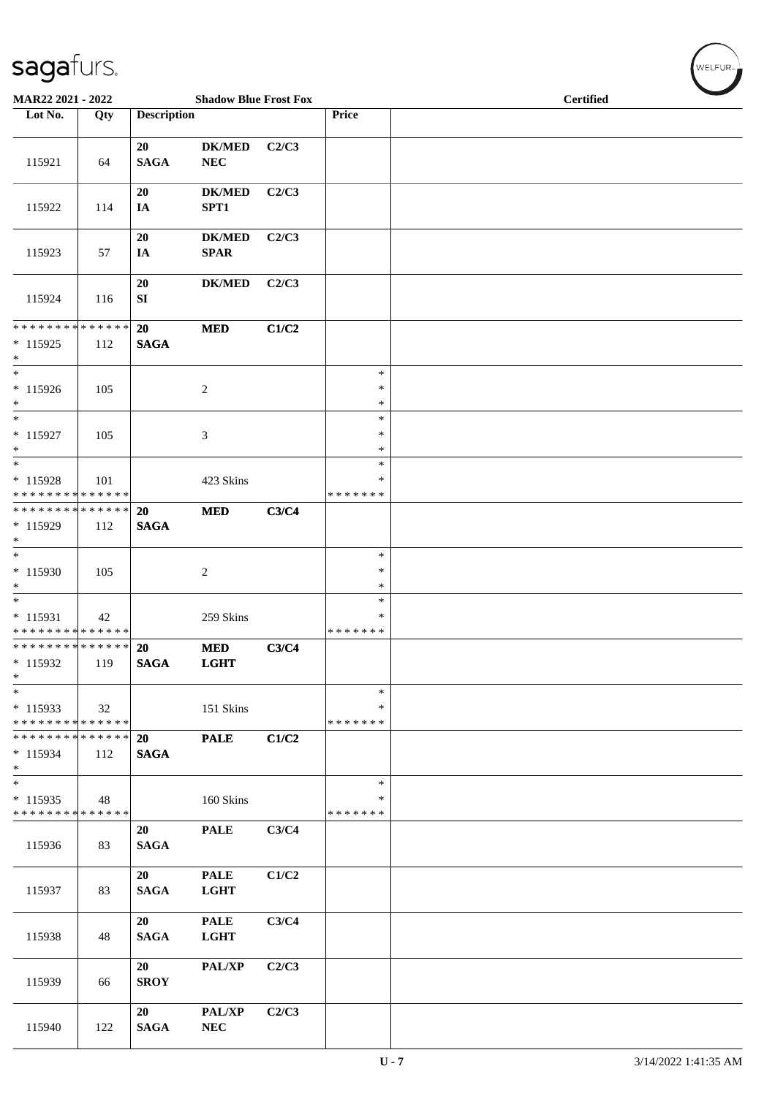| MAR22 2021 - 2022                                                     |               |                    | <b>Shadow Blue Frost Fox</b> |       |                              | <b>Certified</b> |
|-----------------------------------------------------------------------|---------------|--------------------|------------------------------|-------|------------------------------|------------------|
| Lot No.                                                               | Qty           | <b>Description</b> |                              |       | Price                        |                  |
| 115921                                                                | 64            | 20<br><b>SAGA</b>  | <b>DK/MED</b><br>${\bf NEC}$ | C2/C3 |                              |                  |
| 115922                                                                | 114           | 20<br>IA           | <b>DK/MED</b><br>SPT1        | C2/C3 |                              |                  |
| 115923                                                                | 57            | 20<br>IA           | <b>DK/MED</b><br><b>SPAR</b> | C2/C3 |                              |                  |
| 115924                                                                | 116           | 20<br>${\bf SI}$   | <b>DK/MED</b>                | C2/C3 |                              |                  |
| * * * * * * * * * * * * * *<br>$* 115925$<br>$*$                      | 112           | 20<br><b>SAGA</b>  | <b>MED</b>                   | C1/C2 |                              |                  |
| $*$<br>$* 115926$<br>$*$                                              | 105           |                    | 2                            |       | $\ast$<br>$\ast$<br>∗        |                  |
| $*$<br>$* 115927$<br>$\ast$                                           | 105           |                    | 3                            |       | $\ast$<br>$\ast$<br>$\ast$   |                  |
| $\overline{\phantom{0}}$<br>$* 115928$<br>* * * * * * * * * * * * * * | 101           |                    | 423 Skins                    |       | $\ast$<br>∗<br>* * * * * * * |                  |
| * * * * * * * * * * * * * * *<br>* 115929<br>$*$                      | 112           | 20<br><b>SAGA</b>  | <b>MED</b>                   | C3/C4 |                              |                  |
| $*$<br>$* 115930$<br>$*$                                              | 105           |                    | $\overline{c}$               |       | $\ast$<br>$\ast$<br>$\ast$   |                  |
| $*$<br>$* 115931$<br>* * * * * * * * * * * * * *                      | 42            |                    | 259 Skins                    |       | $\ast$<br>∗<br>* * * * * * * |                  |
| ******** <mark>******</mark><br>$*$ 115932<br>$\ast$                  | $\vert$ 119   | 20<br><b>SAGA</b>  | <b>MED</b><br><b>LGHT</b>    | C3/C4 |                              |                  |
| $*$<br>$* 115933$<br>* * * * * * * * * * * * * * *                    | 32            |                    | 151 Skins                    |       | $\ast$<br>∗<br>* * * * * * * |                  |
| * * * * * * * *<br>$*115934$<br>$*$                                   | ******<br>112 | 20<br><b>SAGA</b>  | <b>PALE</b>                  | C1/C2 |                              |                  |
| $*$<br>$*115935$<br>* * * * * * * * * * * * * *                       | 48            |                    | 160 Skins                    |       | $\ast$<br>∗<br>* * * * * * * |                  |
| 115936                                                                | 83            | 20<br><b>SAGA</b>  | <b>PALE</b>                  | C3/C4 |                              |                  |
| 115937                                                                | 83            | 20<br><b>SAGA</b>  | <b>PALE</b><br><b>LGHT</b>   | C1/C2 |                              |                  |
| 115938                                                                | 48            | 20<br><b>SAGA</b>  | <b>PALE</b><br><b>LGHT</b>   | C3/C4 |                              |                  |
| 115939                                                                | 66            | 20<br><b>SROY</b>  | PAL/XP                       | C2/C3 |                              |                  |
| 115940                                                                | 122           | 20<br><b>SAGA</b>  | PAL/XP<br>${\bf NEC}$        | C2/C3 |                              |                  |

 $(w$ elfur<sub>»</sub>